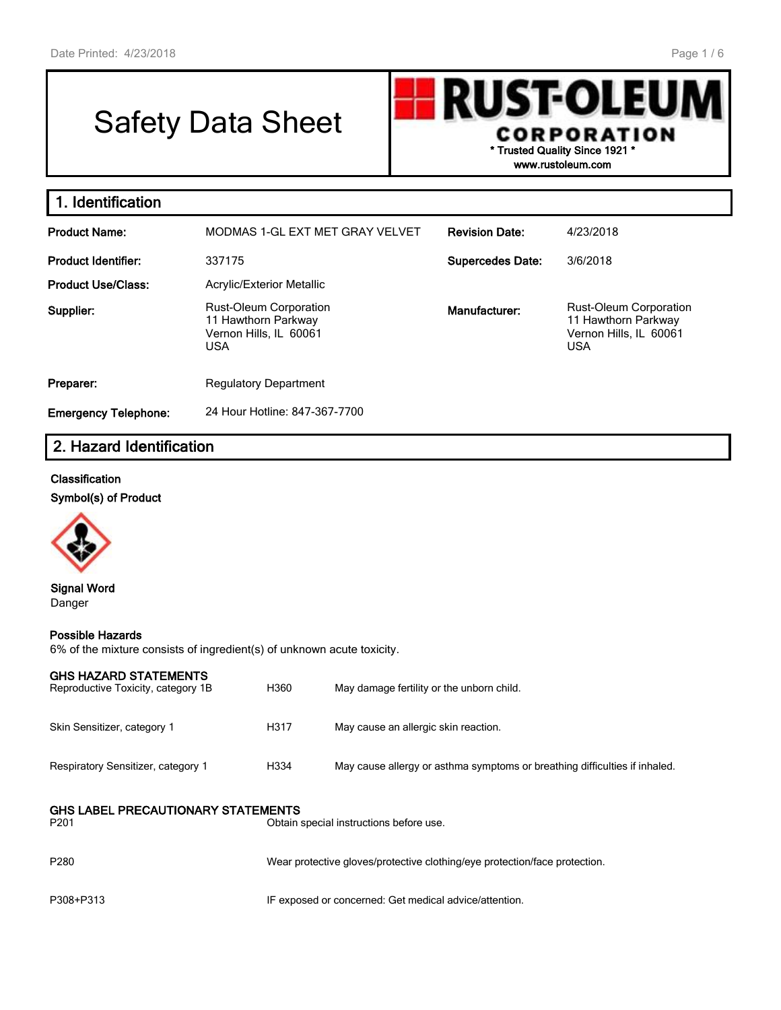# Safety Data Sheet

**RUST-OLEUN CORPORATION \* Trusted Quality Since 1921 \***

**www.rustoleum.com**

| 1. Identification           |                                                                                              |                         |                                                                                              |
|-----------------------------|----------------------------------------------------------------------------------------------|-------------------------|----------------------------------------------------------------------------------------------|
| <b>Product Name:</b>        | MODMAS 1-GL EXT MET GRAY VELVET                                                              | <b>Revision Date:</b>   | 4/23/2018                                                                                    |
| <b>Product Identifier:</b>  | 337175                                                                                       | <b>Supercedes Date:</b> | 3/6/2018                                                                                     |
| <b>Product Use/Class:</b>   | <b>Acrylic/Exterior Metallic</b>                                                             |                         |                                                                                              |
| Supplier:                   | <b>Rust-Oleum Corporation</b><br>11 Hawthorn Parkway<br>Vernon Hills, IL 60061<br><b>USA</b> | Manufacturer:           | <b>Rust-Oleum Corporation</b><br>11 Hawthorn Parkway<br>Vernon Hills, IL 60061<br><b>USA</b> |
| Preparer:                   | <b>Regulatory Department</b>                                                                 |                         |                                                                                              |
| <b>Emergency Telephone:</b> | 24 Hour Hotline: 847-367-7700                                                                |                         |                                                                                              |

### **2. Hazard Identification**

#### **Classification**

**Symbol(s) of Product**



**Signal Word** Danger

#### **Possible Hazards**

6% of the mixture consists of ingredient(s) of unknown acute toxicity.

| <b>GHS HAZARD STATEMENTS</b><br>Reproductive Toxicity, category 1B                                       | H360 | May damage fertility or the unborn child.                                  |  |  |  |
|----------------------------------------------------------------------------------------------------------|------|----------------------------------------------------------------------------|--|--|--|
| Skin Sensitizer, category 1                                                                              | H317 | May cause an allergic skin reaction.                                       |  |  |  |
| Respiratory Sensitizer, category 1                                                                       | H334 | May cause allergy or asthma symptoms or breathing difficulties if inhaled. |  |  |  |
| <b>GHS LABEL PRECAUTIONARY STATEMENTS</b><br>P <sub>201</sub><br>Obtain special instructions before use. |      |                                                                            |  |  |  |
| P <sub>280</sub>                                                                                         |      | Wear protective gloves/protective clothing/eye protection/face protection. |  |  |  |
| P308+P313                                                                                                |      | IF exposed or concerned: Get medical advice/attention.                     |  |  |  |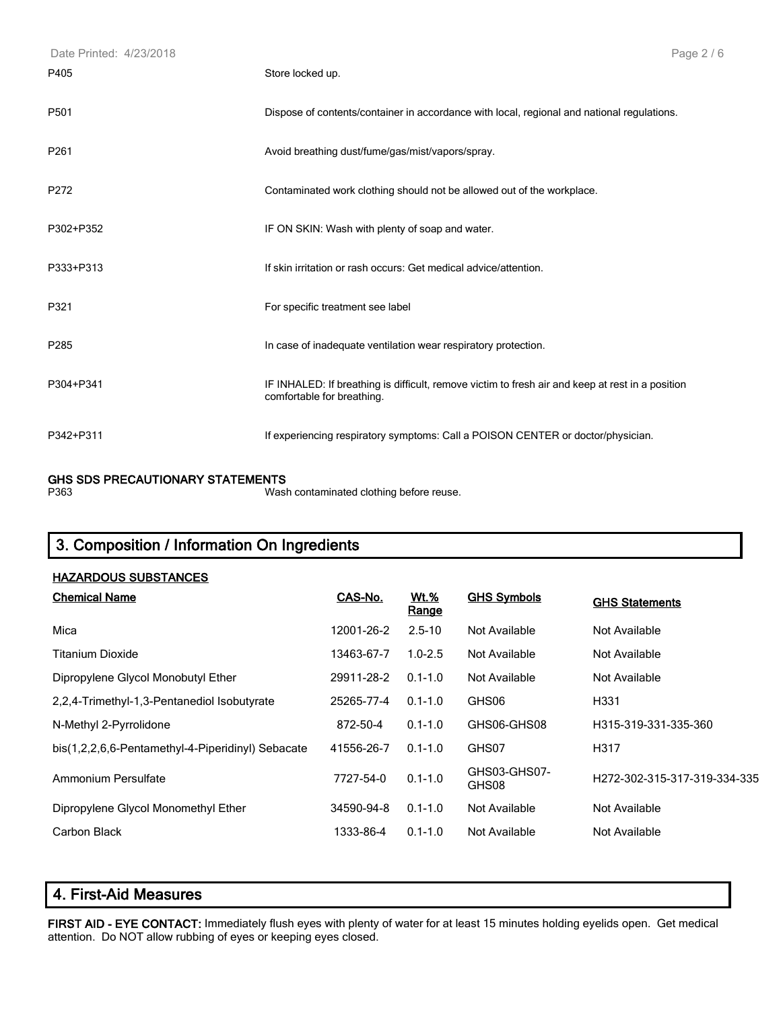| Date Printed: 4/23/2018 |                                                                                                                                | Page 2/6 |
|-------------------------|--------------------------------------------------------------------------------------------------------------------------------|----------|
| P405                    | Store locked up.                                                                                                               |          |
| P501                    | Dispose of contents/container in accordance with local, regional and national regulations.                                     |          |
| P <sub>261</sub>        | Avoid breathing dust/fume/gas/mist/vapors/spray.                                                                               |          |
| P272                    | Contaminated work clothing should not be allowed out of the workplace.                                                         |          |
| P302+P352               | IF ON SKIN: Wash with plenty of soap and water.                                                                                |          |
| P333+P313               | If skin irritation or rash occurs: Get medical advice/attention.                                                               |          |
| P321                    | For specific treatment see label                                                                                               |          |
| P285                    | In case of inadequate ventilation wear respiratory protection.                                                                 |          |
| P304+P341               | IF INHALED: If breathing is difficult, remove victim to fresh air and keep at rest in a position<br>comfortable for breathing. |          |
| P342+P311               | If experiencing respiratory symptoms: Call a POISON CENTER or doctor/physician.                                                |          |

## **GHS SDS PRECAUTIONARY STATEMENTS**

Wash contaminated clothing before reuse.

### **3. Composition / Information On Ingredients**

| <b>HAZARDOUS SUBSTANCES</b>                       |            |                      |                       |                              |
|---------------------------------------------------|------------|----------------------|-----------------------|------------------------------|
| <b>Chemical Name</b>                              | CAS-No.    | <u>Wt.%</u><br>Range | <b>GHS Symbols</b>    | <b>GHS Statements</b>        |
| Mica                                              | 12001-26-2 | $2.5 - 10$           | Not Available         | Not Available                |
| Titanium Dioxide                                  | 13463-67-7 | $1.0 - 2.5$          | Not Available         | Not Available                |
| Dipropylene Glycol Monobutyl Ether                | 29911-28-2 | $0.1 - 1.0$          | Not Available         | Not Available                |
| 2,2,4-Trimethyl-1,3-Pentanediol Isobutyrate       | 25265-77-4 | $0.1 - 1.0$          | GHS06                 | H331                         |
| N-Methyl 2-Pyrrolidone                            | 872-50-4   | $0.1 - 1.0$          | GHS06-GHS08           | H315-319-331-335-360         |
| bis(1,2,2,6,6-Pentamethyl-4-Piperidinyl) Sebacate | 41556-26-7 | $0.1 - 1.0$          | GHS07                 | H317                         |
| Ammonium Persulfate                               | 7727-54-0  | $0.1 - 1.0$          | GHS03-GHS07-<br>GHS08 | H272-302-315-317-319-334-335 |
| Dipropylene Glycol Monomethyl Ether               | 34590-94-8 | $0.1 - 1.0$          | Not Available         | Not Available                |
| Carbon Black                                      | 1333-86-4  | $0.1 - 1.0$          | Not Available         | Not Available                |

#### **4. First-Aid Measures**

**FIRST AID - EYE CONTACT:** Immediately flush eyes with plenty of water for at least 15 minutes holding eyelids open. Get medical attention. Do NOT allow rubbing of eyes or keeping eyes closed.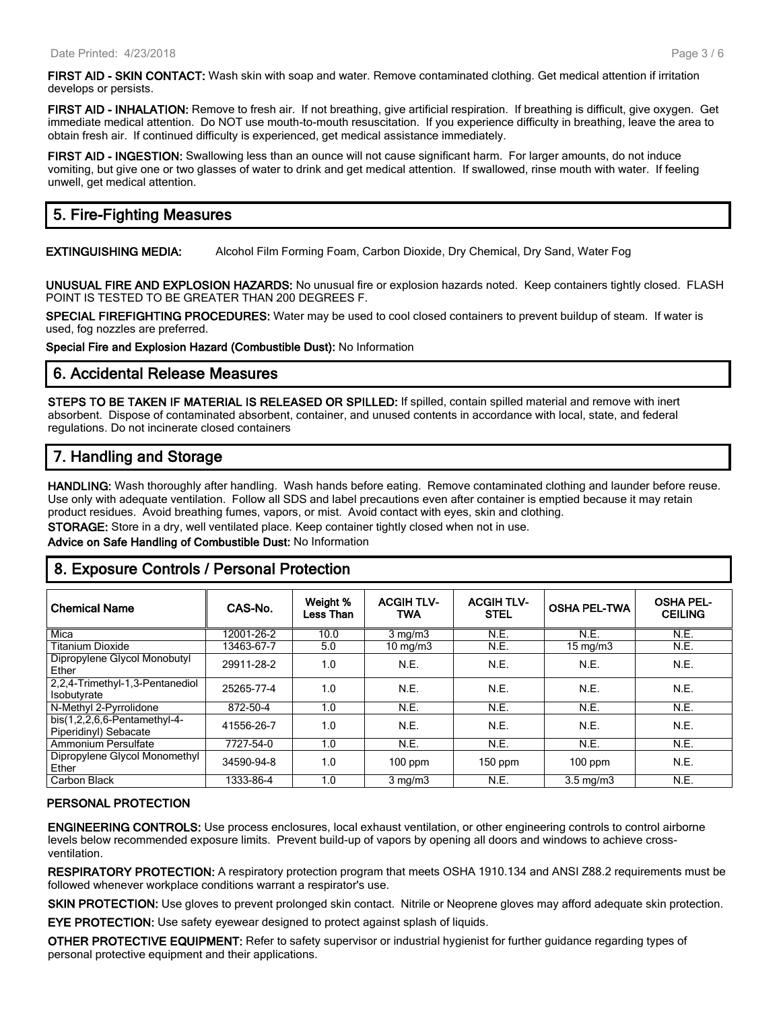**FIRST AID - SKIN CONTACT:** Wash skin with soap and water. Remove contaminated clothing. Get medical attention if irritation develops or persists.

**FIRST AID - INHALATION:** Remove to fresh air. If not breathing, give artificial respiration. If breathing is difficult, give oxygen. Get immediate medical attention. Do NOT use mouth-to-mouth resuscitation. If you experience difficulty in breathing, leave the area to obtain fresh air. If continued difficulty is experienced, get medical assistance immediately.

**FIRST AID - INGESTION:** Swallowing less than an ounce will not cause significant harm. For larger amounts, do not induce vomiting, but give one or two glasses of water to drink and get medical attention. If swallowed, rinse mouth with water. If feeling unwell, get medical attention.

#### **5. Fire-Fighting Measures**

**EXTINGUISHING MEDIA:** Alcohol Film Forming Foam, Carbon Dioxide, Dry Chemical, Dry Sand, Water Fog

**UNUSUAL FIRE AND EXPLOSION HAZARDS:** No unusual fire or explosion hazards noted. Keep containers tightly closed. FLASH POINT IS TESTED TO BE GREATER THAN 200 DEGREES F.

**SPECIAL FIREFIGHTING PROCEDURES:** Water may be used to cool closed containers to prevent buildup of steam. If water is used, fog nozzles are preferred.

**Special Fire and Explosion Hazard (Combustible Dust):** No Information

#### **6. Accidental Release Measures**

**STEPS TO BE TAKEN IF MATERIAL IS RELEASED OR SPILLED:** If spilled, contain spilled material and remove with inert absorbent. Dispose of contaminated absorbent, container, and unused contents in accordance with local, state, and federal regulations. Do not incinerate closed containers

#### **7. Handling and Storage**

**HANDLING:** Wash thoroughly after handling. Wash hands before eating. Remove contaminated clothing and launder before reuse. Use only with adequate ventilation. Follow all SDS and label precautions even after container is emptied because it may retain product residues. Avoid breathing fumes, vapors, or mist. Avoid contact with eyes, skin and clothing.

**STORAGE:** Store in a dry, well ventilated place. Keep container tightly closed when not in use.

#### **Advice on Safe Handling of Combustible Dust:** No Information

#### **8. Exposure Controls / Personal Protection**

| <b>Chemical Name</b>                                      | CAS-No.    | Weight %<br>Less Than | <b>ACGIH TLV-</b><br>TWA | <b>ACGIH TLV-</b><br><b>STEL</b> | <b>OSHA PEL-TWA</b> | <b>OSHA PEL-</b><br><b>CEILING</b> |
|-----------------------------------------------------------|------------|-----------------------|--------------------------|----------------------------------|---------------------|------------------------------------|
| Mica                                                      | 12001-26-2 | 10.0                  | $3 \text{ mg/m}$         | N.E.                             | N.E.                | N.E.                               |
| <b>Titanium Dioxide</b>                                   | 13463-67-7 | 5.0                   | $10 \text{ mg/m}$        | N.E.                             | $15 \text{ mg/m}$   | N.E.                               |
| Dipropylene Glycol Monobutyl<br>Ether                     | 29911-28-2 | 1.0                   | N.E.                     | N.E.                             | N.E.                | N.E.                               |
| 2,2,4-Trimethyl-1,3-Pentanediol<br>Isobutyrate            | 25265-77-4 | 1.0                   | N.E.                     | N.E.                             | N.E.                | N.E.                               |
| N-Methyl 2-Pyrrolidone                                    | 872-50-4   | 1.0                   | N.E.                     | N.E.                             | N.E.                | N.E.                               |
| bis $(1,2,2,6,6$ -Pentamethyl-4-<br>Piperidinyl) Sebacate | 41556-26-7 | 1.0                   | N.E.                     | N.E.                             | N.E.                | N.E.                               |
| Ammonium Persulfate                                       | 7727-54-0  | 1.0                   | N.E.                     | N.E.                             | N.E.                | N.E.                               |
| Dipropylene Glycol Monomethyl<br>Ether                    | 34590-94-8 | 1.0                   | $100$ ppm                | $150$ ppm                        | $100$ ppm           | N.E.                               |
| Carbon Black                                              | 1333-86-4  | 1.0                   | $3 \text{ mg/m}$         | N.E.                             | $3.5 \text{ mg/m}$  | N.E.                               |

#### **PERSONAL PROTECTION**

**ENGINEERING CONTROLS:** Use process enclosures, local exhaust ventilation, or other engineering controls to control airborne levels below recommended exposure limits. Prevent build-up of vapors by opening all doors and windows to achieve crossventilation.

**RESPIRATORY PROTECTION:** A respiratory protection program that meets OSHA 1910.134 and ANSI Z88.2 requirements must be followed whenever workplace conditions warrant a respirator's use.

**SKIN PROTECTION:** Use gloves to prevent prolonged skin contact. Nitrile or Neoprene gloves may afford adequate skin protection.

**EYE PROTECTION:** Use safety eyewear designed to protect against splash of liquids.

**OTHER PROTECTIVE EQUIPMENT:** Refer to safety supervisor or industrial hygienist for further guidance regarding types of personal protective equipment and their applications.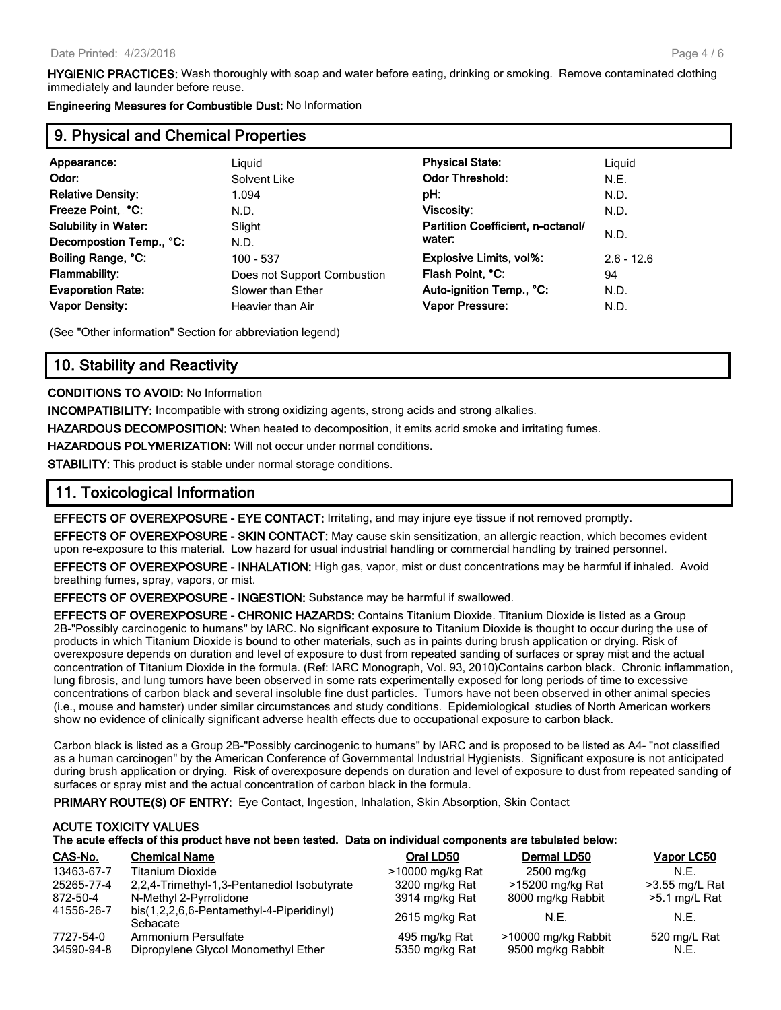**HYGIENIC PRACTICES:** Wash thoroughly with soap and water before eating, drinking or smoking. Remove contaminated clothing immediately and launder before reuse.

**Engineering Measures for Combustible Dust:** No Information

#### **9. Physical and Chemical Properties**

| Appearance:                 | Liquid                      | <b>Physical State:</b>            | Liguid       |
|-----------------------------|-----------------------------|-----------------------------------|--------------|
| Odor:                       | Solvent Like                | <b>Odor Threshold:</b>            | N.E.         |
| <b>Relative Density:</b>    | 1.094                       | pH:                               | N.D.         |
| Freeze Point, °C:           | N.D.                        | Viscosity:                        | N.D.         |
| <b>Solubility in Water:</b> | Slight                      | Partition Coefficient, n-octanol/ |              |
| Decompostion Temp., °C:     | N.D.                        | water:                            | N.D.         |
| Boiling Range, °C:          | 100 - 537                   | <b>Explosive Limits, vol%:</b>    | $2.6 - 12.6$ |
| Flammability:               | Does not Support Combustion | Flash Point, °C:                  | 94           |
| <b>Evaporation Rate:</b>    | Slower than Ether           | Auto-ignition Temp., °C:          | N.D.         |
| <b>Vapor Density:</b>       | Heavier than Air            | Vapor Pressure:                   | N.D.         |
|                             |                             |                                   |              |

(See "Other information" Section for abbreviation legend)

#### **10. Stability and Reactivity**

#### **CONDITIONS TO AVOID:** No Information

**INCOMPATIBILITY:** Incompatible with strong oxidizing agents, strong acids and strong alkalies.

**HAZARDOUS DECOMPOSITION:** When heated to decomposition, it emits acrid smoke and irritating fumes.

**HAZARDOUS POLYMERIZATION:** Will not occur under normal conditions.

**STABILITY:** This product is stable under normal storage conditions.

#### **11. Toxicological Information**

**EFFECTS OF OVEREXPOSURE - EYE CONTACT:** Irritating, and may injure eye tissue if not removed promptly.

**EFFECTS OF OVEREXPOSURE - SKIN CONTACT:** May cause skin sensitization, an allergic reaction, which becomes evident upon re-exposure to this material. Low hazard for usual industrial handling or commercial handling by trained personnel.

**EFFECTS OF OVEREXPOSURE - INHALATION:** High gas, vapor, mist or dust concentrations may be harmful if inhaled. Avoid breathing fumes, spray, vapors, or mist.

**EFFECTS OF OVEREXPOSURE - INGESTION:** Substance may be harmful if swallowed.

**EFFECTS OF OVEREXPOSURE - CHRONIC HAZARDS:** Contains Titanium Dioxide. Titanium Dioxide is listed as a Group 2B-"Possibly carcinogenic to humans" by IARC. No significant exposure to Titanium Dioxide is thought to occur during the use of products in which Titanium Dioxide is bound to other materials, such as in paints during brush application or drying. Risk of overexposure depends on duration and level of exposure to dust from repeated sanding of surfaces or spray mist and the actual concentration of Titanium Dioxide in the formula. (Ref: IARC Monograph, Vol. 93, 2010)Contains carbon black. Chronic inflammation, lung fibrosis, and lung tumors have been observed in some rats experimentally exposed for long periods of time to excessive concentrations of carbon black and several insoluble fine dust particles. Tumors have not been observed in other animal species (i.e., mouse and hamster) under similar circumstances and study conditions. Epidemiological studies of North American workers show no evidence of clinically significant adverse health effects due to occupational exposure to carbon black.

Carbon black is listed as a Group 2B-"Possibly carcinogenic to humans" by IARC and is proposed to be listed as A4- "not classified as a human carcinogen" by the American Conference of Governmental Industrial Hygienists. Significant exposure is not anticipated during brush application or drying. Risk of overexposure depends on duration and level of exposure to dust from repeated sanding of surfaces or spray mist and the actual concentration of carbon black in the formula.

**PRIMARY ROUTE(S) OF ENTRY:** Eye Contact, Ingestion, Inhalation, Skin Absorption, Skin Contact

#### **ACUTE TOXICITY VALUES The acute effects of this product have not been tested. Data on individual components are tabulated below:**

| CAS-No.                 | <b>Chemical Name</b>                                       | Oral LD50                       | Dermal LD50                              | <b>Vapor LC50</b>    |
|-------------------------|------------------------------------------------------------|---------------------------------|------------------------------------------|----------------------|
| 13463-67-7              | <b>Titanium Dioxide</b>                                    | >10000 mg/kg Rat                | 2500 mg/kg                               | N.F.                 |
| 25265-77-4              | 2,2,4-Trimethyl-1,3-Pentanediol Isobutyrate                | 3200 mg/kg Rat                  | >15200 mg/kg Rat                         | >3.55 mg/L Rat       |
| 872-50-4                | N-Methyl 2-Pyrrolidone                                     | 3914 mg/kg Rat                  | 8000 mg/kg Rabbit                        | $>5.1$ mg/L Rat      |
| 41556-26-7              | bis(1,2,2,6,6-Pentamethyl-4-Piperidinyl)<br>Sebacate       | 2615 mg/kg Rat                  | N.E.                                     | N.E.                 |
| 7727-54-0<br>34590-94-8 | Ammonium Persulfate<br>Dipropylene Glycol Monomethyl Ether | 495 mg/kg Rat<br>5350 mg/kg Rat | >10000 mg/kg Rabbit<br>9500 mg/kg Rabbit | 520 mg/L Rat<br>N.E. |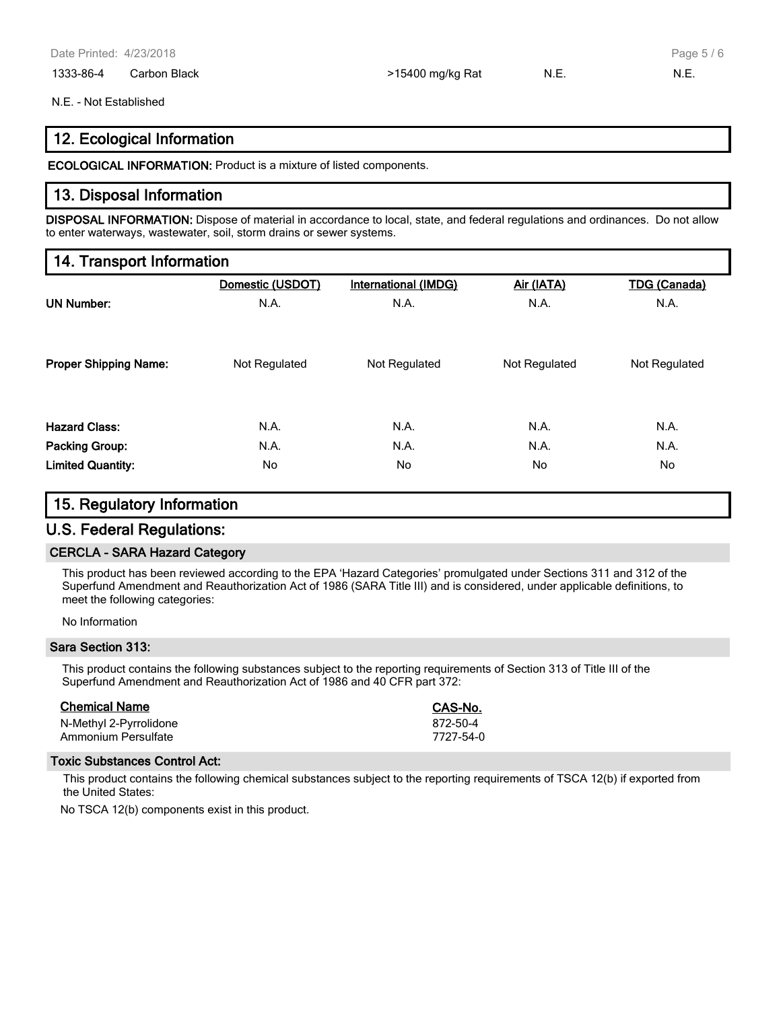1333-86-4 Carbon Black **1200 Figure 1216 Carbon Black** 1333-86-4 Carbon Black 15 Carbon 2016 Figure 14th 15th A.E.

Page 5 / 6

#### N.E. - Not Established

#### **12. Ecological Information**

**ECOLOGICAL INFORMATION:** Product is a mixture of listed components.

#### **13. Disposal Information**

**DISPOSAL INFORMATION:** Dispose of material in accordance to local, state, and federal regulations and ordinances. Do not allow to enter waterways, wastewater, soil, storm drains or sewer systems.

#### **14. Transport Information**

|                              | Domestic (USDOT) | <b>International (IMDG)</b> | Air (IATA)    | <b>TDG (Canada)</b> |
|------------------------------|------------------|-----------------------------|---------------|---------------------|
| <b>UN Number:</b>            | N.A.             | N.A.                        | N.A.          | N.A.                |
|                              |                  |                             |               |                     |
| <b>Proper Shipping Name:</b> | Not Regulated    | Not Regulated               | Not Regulated | Not Regulated       |
|                              |                  |                             |               |                     |
| <b>Hazard Class:</b>         | N.A.             | N.A.                        | N.A.          | N.A.                |
| Packing Group:               | N.A.             | N.A.                        | N.A.          | N.A.                |
| <b>Limited Quantity:</b>     | No               | No.                         | No.           | No.                 |

#### **15. Regulatory Information**

#### **U.S. Federal Regulations:**

#### **CERCLA - SARA Hazard Category**

This product has been reviewed according to the EPA 'Hazard Categories' promulgated under Sections 311 and 312 of the Superfund Amendment and Reauthorization Act of 1986 (SARA Title III) and is considered, under applicable definitions, to meet the following categories:

No Information

#### **Sara Section 313:**

This product contains the following substances subject to the reporting requirements of Section 313 of Title III of the Superfund Amendment and Reauthorization Act of 1986 and 40 CFR part 372:

| <b>Chemical Name</b>   | CAS-No.   |
|------------------------|-----------|
| N-Methyl 2-Pyrrolidone | 872-50-4  |
| Ammonium Persulfate    | 7727-54-0 |

#### **Toxic Substances Control Act:**

This product contains the following chemical substances subject to the reporting requirements of TSCA 12(b) if exported from the United States:

No TSCA 12(b) components exist in this product.